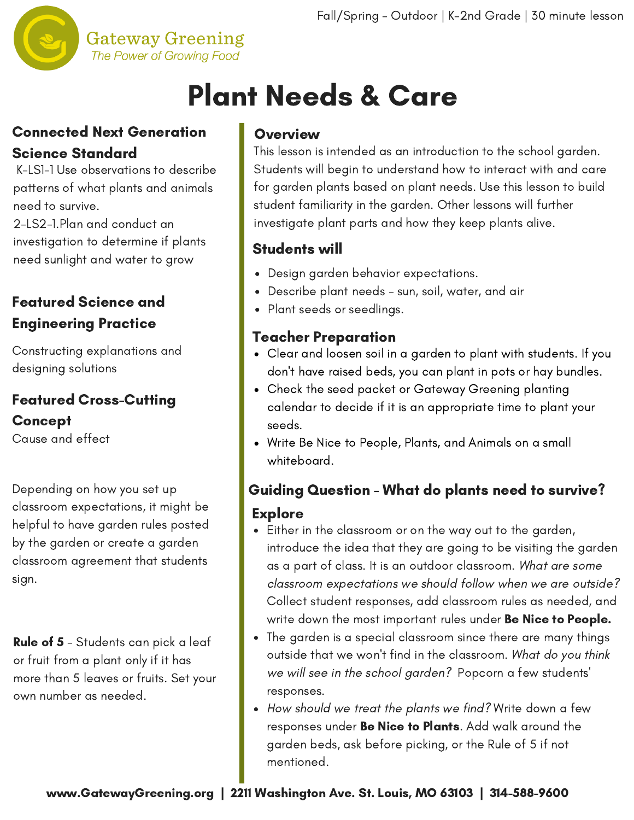

### **Gateway Greening** The Power of Growing Food

# Plant Needs & Care

### Connected Next Generation Science Standard

K-LS1-1 Use observations to describe patterns of what plants and animals need to survive.

2-LS2-1.Plan and conduct an investigation to determine if plants need sunlight and water to grow

### Featured Science and Engineering Practice

Constructing explanations and designing solutions

# Featured Cross-Cutting **Concept**

Cause and effect

Depending on how you set up classroom expectations, it might be helpful to have garden rules posted by the garden or create a garden classroom agreement that students sign.

Rule of 5 - Students can pick a leaf or fruit from a plant only if it has more than 5 leaves or fruits. Set your own number as needed.

### **Overview**

This lesson is intended as an [introduction](http://www.gatewaygreening.org/wp-content/uploads/2018/08/Gateway-Greening-Planting-Calendar-2018.pdf) to the school garden. Students will begin to understand how to interact with and care for garden plants based on plant needs. Use this lesson to build student familiarity in the garden. Other lessons will further investigate plant parts and how they keep plants alive.

### Students will

- Design garden behavior expectations.
- Describe plant needs sun, soil, water, and air
- Plant seeds or seedlings.

### Teacher Preparation

- Clear and loosen soil in a garden to plant with students. If you don't have raised beds, you can plant in pots or hay bundles.
- Check the seed packet or Gateway Greening planting calendar to decide if it is an appropriate time to plant your seeds.
- Write Be Nice to People, Plants, and Animals on a small whiteboard.

## Guiding Question - What do plants need to survive? Explore

- Either in the classroom or on the way out to the garden, introduce the idea that they are going to be visiting the garden as a part of class. It is an outdoor classroom. What are some classroom expectations we should follow when we are outside? Collect student responses, add classroom rules as needed, and write down the most important rules under **Be Nice to People.**
- The garden is a special classroom since there are many things outside that we won't find in the classroom. What do you think we will see in the school garden? Popcorn a few students' responses.
- How should we treat the plants we find? Write down a few responses under Be Nice to Plants. Add walk around the garden beds, ask before picking, or the Rule of 5 if not mentioned.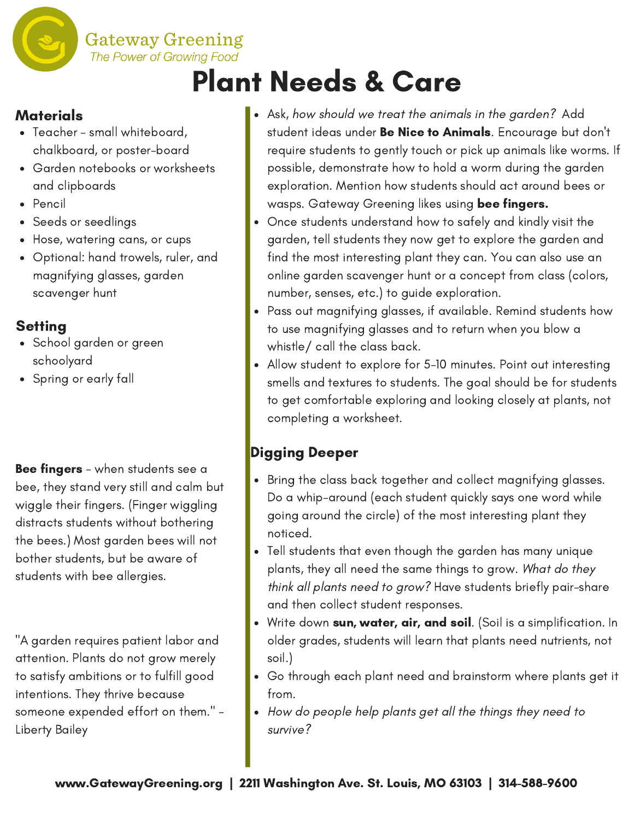# The Power of Growing Food Plant Needs & Care

### **Materials**

- Teacher small whiteboard, chalkboard, or poster-board
- Garden notebooks or worksheets and clipboards

**Gateway Greening** 

- Pencil
- Seeds or seedlings
- Hose, watering cans, or cups
- Optional: hand trowels, ruler, and magnifying glasses, garden scavenger hunt

### **Setting**

- School garden or green schoolyard
- Spring or early fall

Bee fingers - when students see a bee, they stand very still and calm but wiggle their fingers. (Finger wiggling distracts students without bothering the bees.) Most garden bees will not bother students, but be aware of students with bee allergies.

"A garden requires patient labor and attention. Plants do not grow merely to satisfy ambitions or to fulfill good intentions. They thrive because someone expended effort on them." - Liberty Bailey

- Ask, how should we treat the animals in the garden? Add student ideas under **Be Nice to Animals**. Encourage but don't require students to gently touch or pick up animals like worms. If possible, demonstrate how to hold a worm during the garden exploration. Mention how students should act around bees or wasps. Gateway Greening likes using bee fingers.
- Once students understand how to safely and kindly visit the garden, tell students they now get to explore the garden and find the most interesting plant they can. You can also use an online garden scavenger hunt or a concept from class (colors, number, senses, etc.) to guide exploration.
- Pass out magnifying glasses, if available. Remind students how to use magnifying glasses and to return when you blow a whistle/ call the class back.
- Allow student to explore for 5-10 minutes. Point out interesting smells and textures to students. The goal should be for students to get comfortable exploring and looking closely at plants, not completing a worksheet.

## Digging Deeper

- Bring the class back together and collect magnifying glasses. Do a whip-around (each student quickly says one word while going around the circle) of the most interesting plant they noticed.
- Tell students that even though the garden has many unique plants, they all need the same things to grow. What do they think all plants need to grow? Have students briefly pair-share and then collect student responses.
- Write down sun, water, air, and soil. (Soil is a simplification. In older grades, students will learn that plants need nutrients, not soil.)
- Go through each plant need and brainstorm where plants get it from.
- How do people help plants get all the things they need to survive?